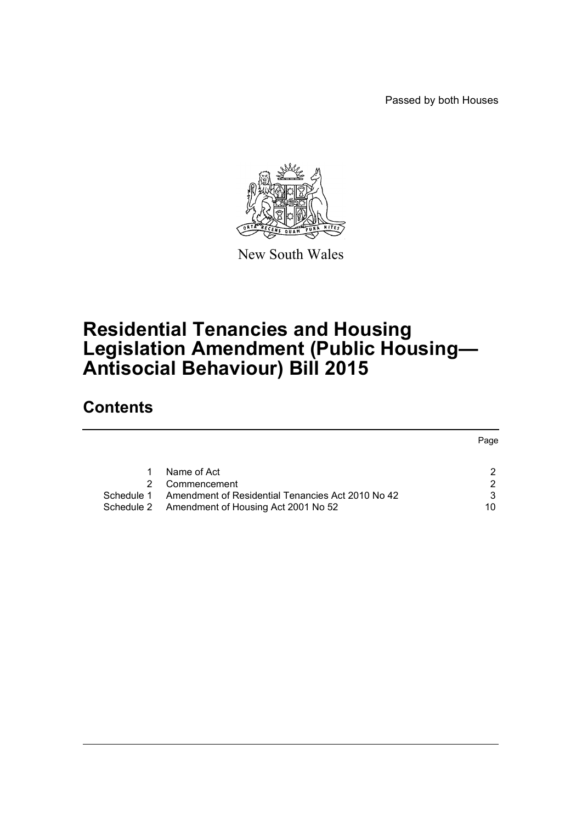Passed by both Houses



New South Wales

# **Residential Tenancies and Housing Legislation Amendment (Public Housing— Antisocial Behaviour) Bill 2015**

# **Contents**

|            |                                                   | Page |
|------------|---------------------------------------------------|------|
|            |                                                   |      |
|            | Name of Act                                       |      |
|            | Commencement                                      |      |
| Schedule 1 | Amendment of Residential Tenancies Act 2010 No 42 | 3    |
|            | Schedule 2 Amendment of Housing Act 2001 No 52    | 10   |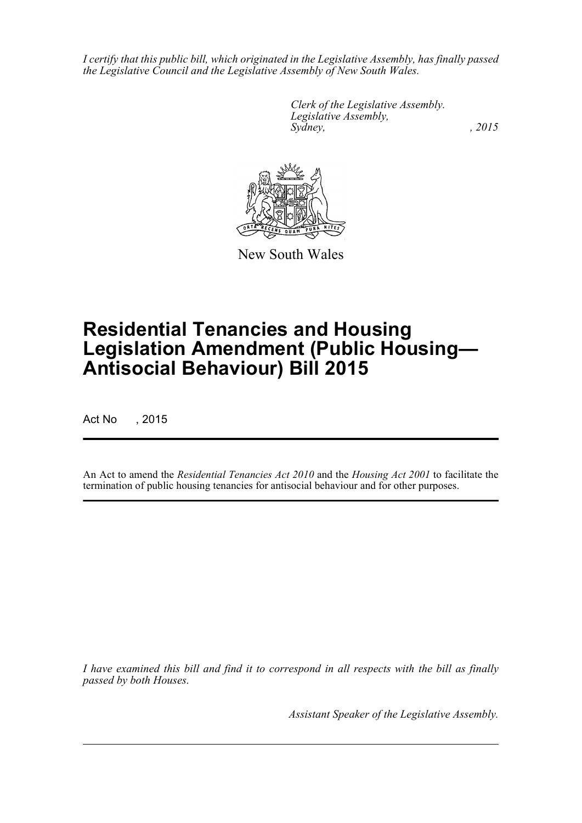*I certify that this public bill, which originated in the Legislative Assembly, has finally passed the Legislative Council and the Legislative Assembly of New South Wales.*

> *Clerk of the Legislative Assembly. Legislative Assembly, Sydney,* , 2015



New South Wales

# **Residential Tenancies and Housing Legislation Amendment (Public Housing— Antisocial Behaviour) Bill 2015**

Act No , 2015

An Act to amend the *Residential Tenancies Act 2010* and the *Housing Act 2001* to facilitate the termination of public housing tenancies for antisocial behaviour and for other purposes.

*I have examined this bill and find it to correspond in all respects with the bill as finally passed by both Houses.*

*Assistant Speaker of the Legislative Assembly.*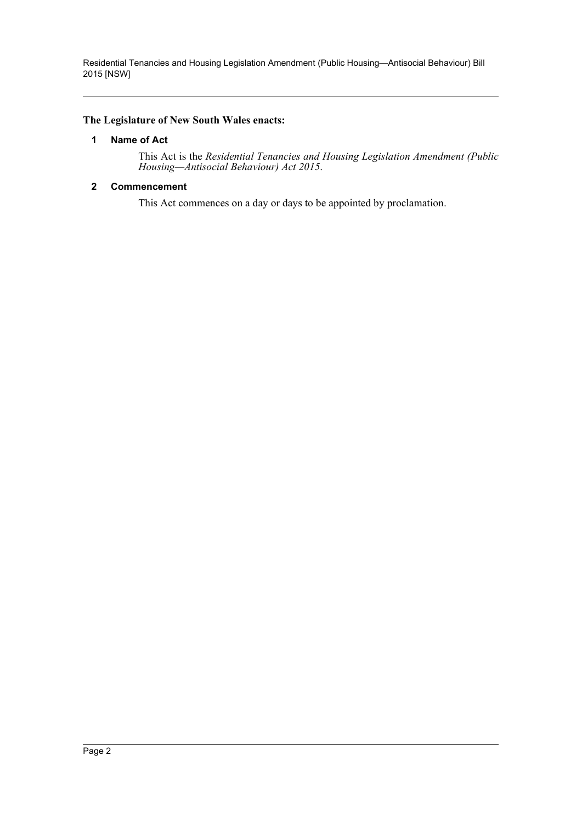Residential Tenancies and Housing Legislation Amendment (Public Housing—Antisocial Behaviour) Bill 2015 [NSW]

#### <span id="page-2-0"></span>**The Legislature of New South Wales enacts:**

#### **1 Name of Act**

This Act is the *Residential Tenancies and Housing Legislation Amendment (Public Housing—Antisocial Behaviour) Act 2015*.

#### <span id="page-2-1"></span>**2 Commencement**

This Act commences on a day or days to be appointed by proclamation.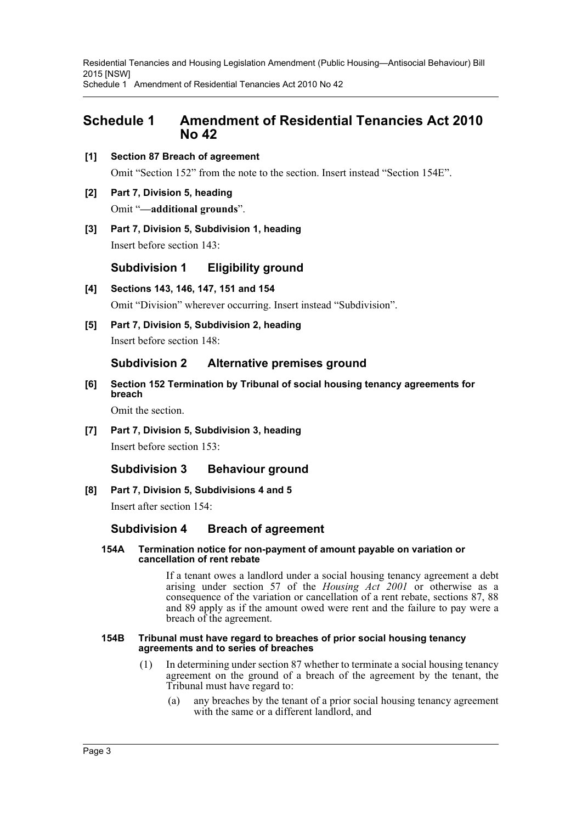Residential Tenancies and Housing Legislation Amendment (Public Housing—Antisocial Behaviour) Bill 2015 [NSW] Schedule 1 Amendment of Residential Tenancies Act 2010 No 42

# <span id="page-3-0"></span>**Schedule 1 Amendment of Residential Tenancies Act 2010 No 42**

**[1] Section 87 Breach of agreement**

Omit "Section 152" from the note to the section. Insert instead "Section 154E".

### **[2] Part 7, Division 5, heading** Omit "**—additional grounds**".

**[3] Part 7, Division 5, Subdivision 1, heading**

Insert before section 143:

**Subdivision 1 Eligibility ground**

- **[4] Sections 143, 146, 147, 151 and 154** Omit "Division" wherever occurring. Insert instead "Subdivision".
- **[5] Part 7, Division 5, Subdivision 2, heading** Insert before section 148:

# **Subdivision 2 Alternative premises ground**

**[6] Section 152 Termination by Tribunal of social housing tenancy agreements for breach**

Omit the section.

**[7] Part 7, Division 5, Subdivision 3, heading** Insert before section 153:

# **Subdivision 3 Behaviour ground**

#### **[8] Part 7, Division 5, Subdivisions 4 and 5**

Insert after section 154:

#### **Subdivision 4 Breach of agreement**

#### **154A Termination notice for non-payment of amount payable on variation or cancellation of rent rebate**

If a tenant owes a landlord under a social housing tenancy agreement a debt arising under section 57 of the *Housing Act 2001* or otherwise as a consequence of the variation or cancellation of a rent rebate, sections 87, 88 and 89 apply as if the amount owed were rent and the failure to pay were a breach of the agreement.

#### **154B Tribunal must have regard to breaches of prior social housing tenancy agreements and to series of breaches**

- (1) In determining under section 87 whether to terminate a social housing tenancy agreement on the ground of a breach of the agreement by the tenant, the Tribunal must have regard to:
	- (a) any breaches by the tenant of a prior social housing tenancy agreement with the same or a different landlord, and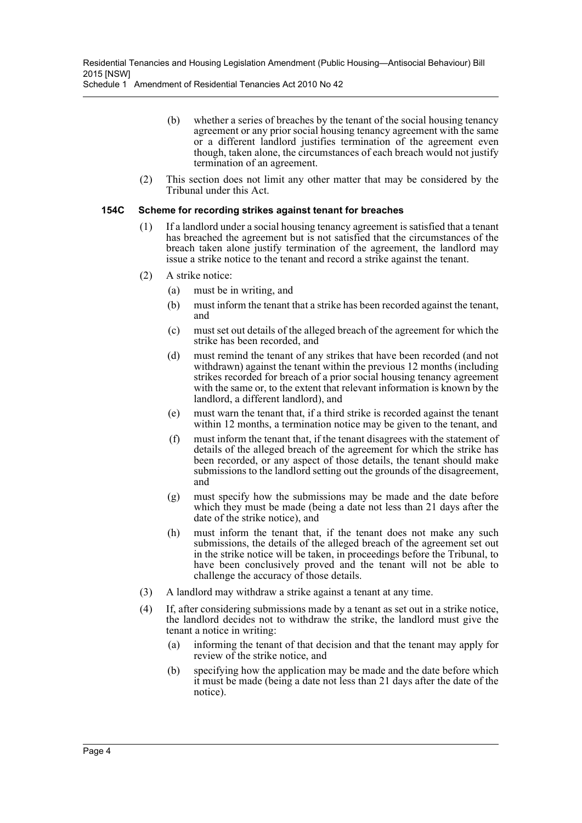Schedule 1 Amendment of Residential Tenancies Act 2010 No 42

- (b) whether a series of breaches by the tenant of the social housing tenancy agreement or any prior social housing tenancy agreement with the same or a different landlord justifies termination of the agreement even though, taken alone, the circumstances of each breach would not justify termination of an agreement.
- (2) This section does not limit any other matter that may be considered by the Tribunal under this Act.

#### **154C Scheme for recording strikes against tenant for breaches**

- (1) If a landlord under a social housing tenancy agreement is satisfied that a tenant has breached the agreement but is not satisfied that the circumstances of the breach taken alone justify termination of the agreement, the landlord may issue a strike notice to the tenant and record a strike against the tenant.
- (2) A strike notice:
	- (a) must be in writing, and
	- (b) must inform the tenant that a strike has been recorded against the tenant, and
	- (c) must set out details of the alleged breach of the agreement for which the strike has been recorded, and
	- (d) must remind the tenant of any strikes that have been recorded (and not withdrawn) against the tenant within the previous 12 months (including strikes recorded for breach of a prior social housing tenancy agreement with the same or, to the extent that relevant information is known by the landlord, a different landlord), and
	- (e) must warn the tenant that, if a third strike is recorded against the tenant within 12 months, a termination notice may be given to the tenant, and
	- (f) must inform the tenant that, if the tenant disagrees with the statement of details of the alleged breach of the agreement for which the strike has been recorded, or any aspect of those details, the tenant should make submissions to the landlord setting out the grounds of the disagreement, and
	- (g) must specify how the submissions may be made and the date before which they must be made (being a date not less than 21 days after the date of the strike notice), and
	- (h) must inform the tenant that, if the tenant does not make any such submissions, the details of the alleged breach of the agreement set out in the strike notice will be taken, in proceedings before the Tribunal, to have been conclusively proved and the tenant will not be able to challenge the accuracy of those details.
- (3) A landlord may withdraw a strike against a tenant at any time.
- (4) If, after considering submissions made by a tenant as set out in a strike notice, the landlord decides not to withdraw the strike, the landlord must give the tenant a notice in writing:
	- (a) informing the tenant of that decision and that the tenant may apply for review of the strike notice, and
	- (b) specifying how the application may be made and the date before which it must be made (being a date not less than 21 days after the date of the notice).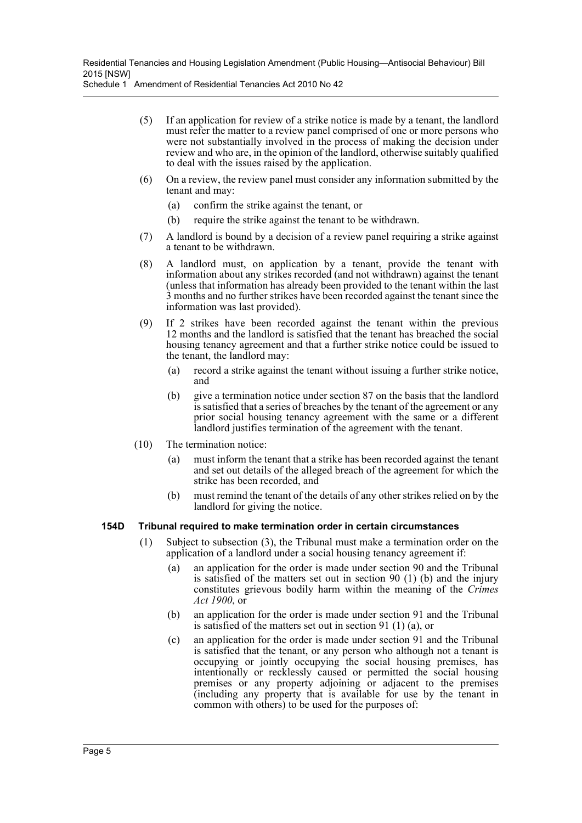- (5) If an application for review of a strike notice is made by a tenant, the landlord must refer the matter to a review panel comprised of one or more persons who were not substantially involved in the process of making the decision under review and who are, in the opinion of the landlord, otherwise suitably qualified to deal with the issues raised by the application.
- (6) On a review, the review panel must consider any information submitted by the tenant and may:
	- (a) confirm the strike against the tenant, or
	- (b) require the strike against the tenant to be withdrawn.
- (7) A landlord is bound by a decision of a review panel requiring a strike against a tenant to be withdrawn.
- (8) A landlord must, on application by a tenant, provide the tenant with information about any strikes recorded (and not withdrawn) against the tenant (unless that information has already been provided to the tenant within the last 3 months and no further strikes have been recorded against the tenant since the information was last provided).
- (9) If 2 strikes have been recorded against the tenant within the previous 12 months and the landlord is satisfied that the tenant has breached the social housing tenancy agreement and that a further strike notice could be issued to the tenant, the landlord may:
	- (a) record a strike against the tenant without issuing a further strike notice, and
	- (b) give a termination notice under section 87 on the basis that the landlord is satisfied that a series of breaches by the tenant of the agreement or any prior social housing tenancy agreement with the same or a different landlord justifies termination of the agreement with the tenant.
- (10) The termination notice:
	- (a) must inform the tenant that a strike has been recorded against the tenant and set out details of the alleged breach of the agreement for which the strike has been recorded, and
	- (b) must remind the tenant of the details of any other strikes relied on by the landlord for giving the notice.

#### **154D Tribunal required to make termination order in certain circumstances**

- (1) Subject to subsection (3), the Tribunal must make a termination order on the application of a landlord under a social housing tenancy agreement if:
	- (a) an application for the order is made under section 90 and the Tribunal is satisfied of the matters set out in section 90 (1) (b) and the injury constitutes grievous bodily harm within the meaning of the *Crimes Act 1900*, or
	- (b) an application for the order is made under section 91 and the Tribunal is satisfied of the matters set out in section 91 (1) (a), or
	- (c) an application for the order is made under section 91 and the Tribunal is satisfied that the tenant, or any person who although not a tenant is occupying or jointly occupying the social housing premises, has intentionally or recklessly caused or permitted the social housing premises or any property adjoining or adjacent to the premises (including any property that is available for use by the tenant in common with others) to be used for the purposes of: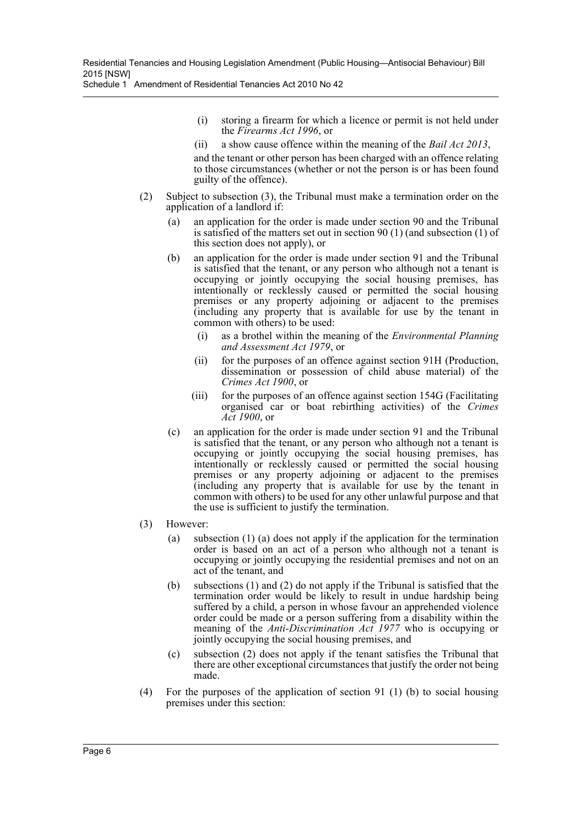Schedule 1 Amendment of Residential Tenancies Act 2010 No 42

- (i) storing a firearm for which a licence or permit is not held under the *Firearms Act 1996*, or
- (ii) a show cause offence within the meaning of the *Bail Act 2013*,

and the tenant or other person has been charged with an offence relating to those circumstances (whether or not the person is or has been found guilty of the offence).

- (2) Subject to subsection (3), the Tribunal must make a termination order on the application of a landlord if:
	- (a) an application for the order is made under section 90 and the Tribunal is satisfied of the matters set out in section 90 (1) (and subsection (1) of this section does not apply), or
	- (b) an application for the order is made under section 91 and the Tribunal is satisfied that the tenant, or any person who although not a tenant is occupying or jointly occupying the social housing premises, has intentionally or recklessly caused or permitted the social housing premises or any property adjoining or adjacent to the premises (including any property that is available for use by the tenant in common with others) to be used:
		- (i) as a brothel within the meaning of the *Environmental Planning and Assessment Act 1979*, or
		- (ii) for the purposes of an offence against section 91H (Production, dissemination or possession of child abuse material) of the *Crimes Act 1900*, or
		- (iii) for the purposes of an offence against section 154G (Facilitating organised car or boat rebirthing activities) of the *Crimes Act 1900*, or
	- (c) an application for the order is made under section 91 and the Tribunal is satisfied that the tenant, or any person who although not a tenant is occupying or jointly occupying the social housing premises, has intentionally or recklessly caused or permitted the social housing premises or any property adjoining or adjacent to the premises (including any property that is available for use by the tenant in common with others) to be used for any other unlawful purpose and that the use is sufficient to justify the termination.
- (3) However:
	- (a) subsection (1) (a) does not apply if the application for the termination order is based on an act of a person who although not a tenant is occupying or jointly occupying the residential premises and not on an act of the tenant, and
	- (b) subsections (1) and (2) do not apply if the Tribunal is satisfied that the termination order would be likely to result in undue hardship being suffered by a child, a person in whose favour an apprehended violence order could be made or a person suffering from a disability within the meaning of the *Anti-Discrimination Act 1977* who is occupying or jointly occupying the social housing premises, and
	- (c) subsection (2) does not apply if the tenant satisfies the Tribunal that there are other exceptional circumstances that justify the order not being made.
- (4) For the purposes of the application of section 91 (1) (b) to social housing premises under this section: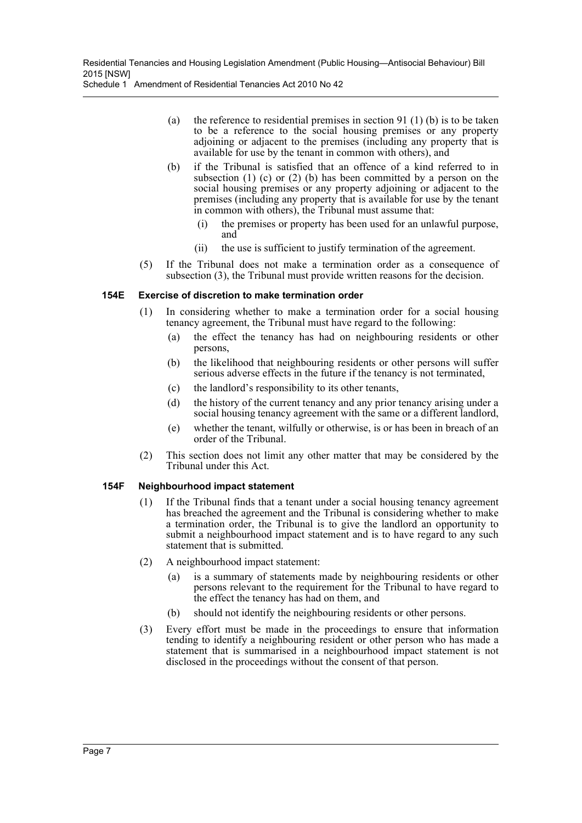- (a) the reference to residential premises in section 91 (1) (b) is to be taken to be a reference to the social housing premises or any property adjoining or adjacent to the premises (including any property that is available for use by the tenant in common with others), and
- (b) if the Tribunal is satisfied that an offence of a kind referred to in subsection (1) (c) or (2) (b) has been committed by a person on the social housing premises or any property adjoining or adjacent to the premises (including any property that is available for use by the tenant in common with others), the Tribunal must assume that:
	- (i) the premises or property has been used for an unlawful purpose, and
	- (ii) the use is sufficient to justify termination of the agreement.
- (5) If the Tribunal does not make a termination order as a consequence of subsection (3), the Tribunal must provide written reasons for the decision.

#### **154E Exercise of discretion to make termination order**

- (1) In considering whether to make a termination order for a social housing tenancy agreement, the Tribunal must have regard to the following:
	- (a) the effect the tenancy has had on neighbouring residents or other persons,
	- (b) the likelihood that neighbouring residents or other persons will suffer serious adverse effects in the future if the tenancy is not terminated,
	- (c) the landlord's responsibility to its other tenants,
	- (d) the history of the current tenancy and any prior tenancy arising under a social housing tenancy agreement with the same or a different landlord,
	- (e) whether the tenant, wilfully or otherwise, is or has been in breach of an order of the Tribunal.
- (2) This section does not limit any other matter that may be considered by the Tribunal under this Act.

#### **154F Neighbourhood impact statement**

- (1) If the Tribunal finds that a tenant under a social housing tenancy agreement has breached the agreement and the Tribunal is considering whether to make a termination order, the Tribunal is to give the landlord an opportunity to submit a neighbourhood impact statement and is to have regard to any such statement that is submitted.
- (2) A neighbourhood impact statement:
	- (a) is a summary of statements made by neighbouring residents or other persons relevant to the requirement for the Tribunal to have regard to the effect the tenancy has had on them, and
	- (b) should not identify the neighbouring residents or other persons.
- (3) Every effort must be made in the proceedings to ensure that information tending to identify a neighbouring resident or other person who has made a statement that is summarised in a neighbourhood impact statement is not disclosed in the proceedings without the consent of that person.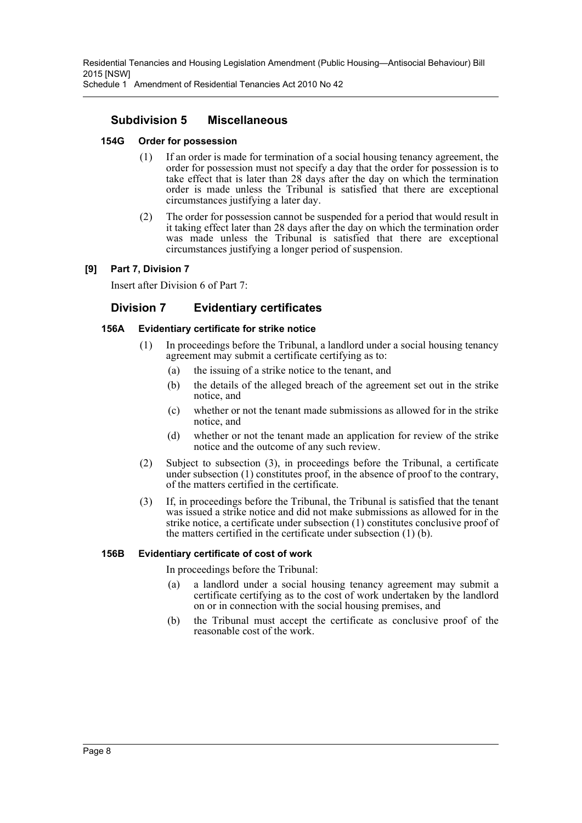Residential Tenancies and Housing Legislation Amendment (Public Housing—Antisocial Behaviour) Bill 2015 [NSW]

Schedule 1 Amendment of Residential Tenancies Act 2010 No 42

# **Subdivision 5 Miscellaneous**

#### **154G Order for possession**

- (1) If an order is made for termination of a social housing tenancy agreement, the order for possession must not specify a day that the order for possession is to take effect that is later than 28 days after the day on which the termination order is made unless the Tribunal is satisfied that there are exceptional circumstances justifying a later day.
- (2) The order for possession cannot be suspended for a period that would result in it taking effect later than 28 days after the day on which the termination order was made unless the Tribunal is satisfied that there are exceptional circumstances justifying a longer period of suspension.

#### **[9] Part 7, Division 7**

Insert after Division 6 of Part 7:

### **Division 7 Evidentiary certificates**

#### **156A Evidentiary certificate for strike notice**

- (1) In proceedings before the Tribunal, a landlord under a social housing tenancy agreement may submit a certificate certifying as to:
	- (a) the issuing of a strike notice to the tenant, and
	- (b) the details of the alleged breach of the agreement set out in the strike notice, and
	- (c) whether or not the tenant made submissions as allowed for in the strike notice, and
	- (d) whether or not the tenant made an application for review of the strike notice and the outcome of any such review.
- (2) Subject to subsection (3), in proceedings before the Tribunal, a certificate under subsection (1) constitutes proof, in the absence of proof to the contrary, of the matters certified in the certificate.
- (3) If, in proceedings before the Tribunal, the Tribunal is satisfied that the tenant was issued a strike notice and did not make submissions as allowed for in the strike notice, a certificate under subsection (1) constitutes conclusive proof of the matters certified in the certificate under subsection (1) (b).

#### **156B Evidentiary certificate of cost of work**

In proceedings before the Tribunal:

- (a) a landlord under a social housing tenancy agreement may submit a certificate certifying as to the cost of work undertaken by the landlord on or in connection with the social housing premises, and
- (b) the Tribunal must accept the certificate as conclusive proof of the reasonable cost of the work.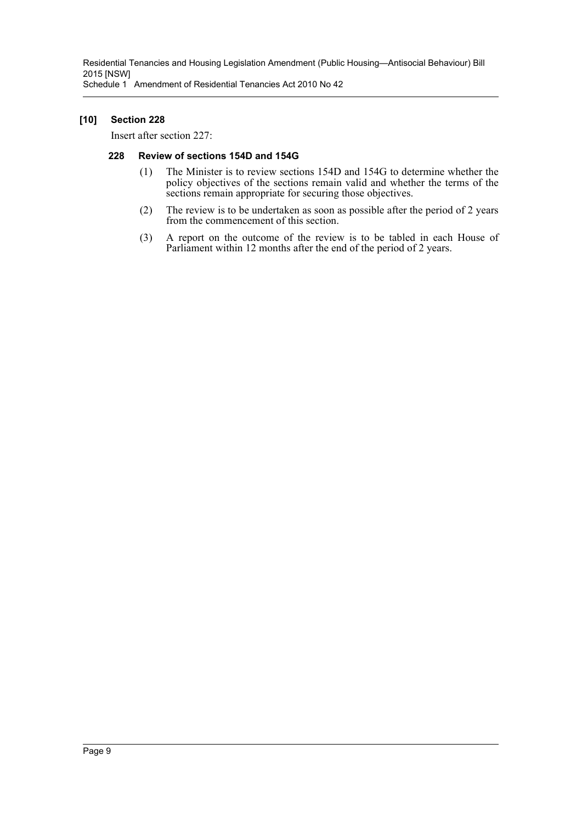Residential Tenancies and Housing Legislation Amendment (Public Housing—Antisocial Behaviour) Bill 2015 [NSW] Schedule 1 Amendment of Residential Tenancies Act 2010 No 42

#### **[10] Section 228**

Insert after section 227:

#### **228 Review of sections 154D and 154G**

- (1) The Minister is to review sections 154D and 154G to determine whether the policy objectives of the sections remain valid and whether the terms of the sections remain appropriate for securing those objectives.
- (2) The review is to be undertaken as soon as possible after the period of 2 years from the commencement of this section.
- (3) A report on the outcome of the review is to be tabled in each House of Parliament within 12 months after the end of the period of 2 years.